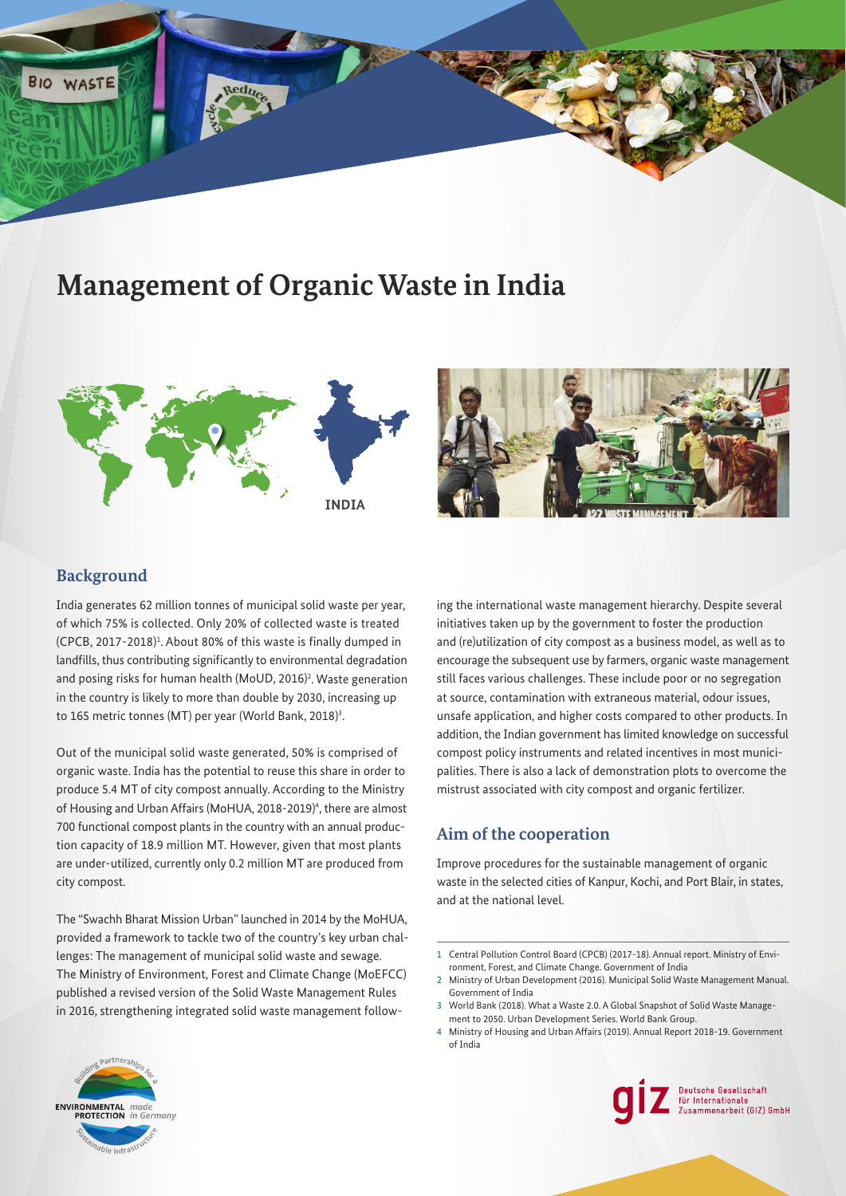# **Management of Organic Waste in India**





## **Background**

**BIO WASTE** 

India generates 62 million tonnes of municipal solid waste per year, of which 75% is collected. Only 20% of collected waste is treated  $(CPCB, 2017-2018)^1$ . About 80% of this waste is finally dumped in landfills, thus contributing significantly to environmental degradation and posing risks for human health (MoUD, 2016)<sup>2</sup>. Waste generation in the country is likely to more than double by 2030, increasing up to 165 metric tonnes (MT) per year (World Bank, 2018)<sup>3</sup>.

Out of the municipal solid waste generated, 50% is comprised of organic waste. India has the potential to reuse this share in order to produce 5.4 MT of city compost annually. According to the Ministry of Housing and Urban Affairs (MoHUA, 2018-2019)<sup>4</sup>, there are almost 700 functional compost plants in the country with an annual production capacity of 18.9 million MT. However, given that most plants are under-utilized, currently only 0.2 million MT are produced from city compost.

The "Swachh Bharat Mission Urban" launched in 2014 by the MoHUA, provided a framework to tackle two of the country's key urban challenges: The management of municipal solid waste and sewage. The Ministry of Environment, Forest and Climate Change (MoEFCC) published a revised version of the Solid Waste Management Rules in 2016, strengthening integrated solid waste management follow-

ing the international waste management hierarchy. Despite several initiatives taken up by the government to foster the production and (re)utilization of city compost as a business model, as well as to encourage the subsequent use by farmers, organic waste management still faces various challenges. These include poor or no segregation at source, contamination with extraneous material, odour issues, unsafe application, and higher costs compared to other products. In addition, the Indian government has limited knowledge on successful compost policy instruments and related incentives in most municipalities. There is also a lack of demonstration plots to overcome the mistrust associated with city compost and organic fertilizer.

# **Aim of the cooperation**

Improve procedures for the sustainable management of organic waste in the selected cities of Kanpur, Kochi, and Port Blair, in states, and at the national level.

2 Ministry of Urban Development (2016). Municipal Solid Waste Management Manual. Government of India

4 Ministry of Housing and Urban Affairs (2019). Annual Report 2018-19. Government of India





 1 Central Pollution Control Board (CPCB) (2017-18). Annual report. Ministry of Environment, Forest, and Climate Change. Government of India

<sup>3</sup> World Bank (2018). What a Waste 2.0. A Global Snapshot of Solid Waste Management to 2050. Urban Development Series. World Bank Group.